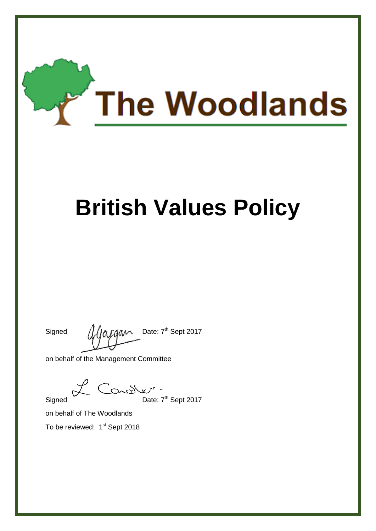

# **British Values Policy**

Signed  $\int \int \int \rho \rho \rho d\rho$  Date:  $7^{\text{th}}$  Sept 2017

on behalf of the Management Committee

Signed Date: 7<sup>th</sup> Sept 2017

on behalf of The Woodlands

To be reviewed: 1<sup>st</sup> Sept 2018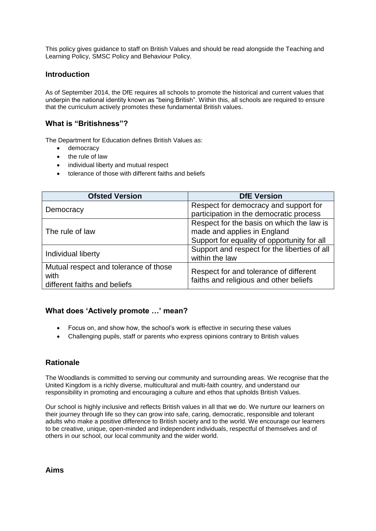This policy gives guidance to staff on British Values and should be read alongside the Teaching and Learning Policy, SMSC Policy and Behaviour Policy.

#### **Introduction**

As of September 2014, the DfE requires all schools to promote the historical and current values that underpin the national identity known as "being British". Within this, all schools are required to ensure that the curriculum actively promotes these fundamental British values.

# **What is "Britishness"?**

The Department for Education defines British Values as:

- democracy
- the rule of law
- individual liberty and mutual respect
- tolerance of those with different faiths and beliefs

| <b>Ofsted Version</b>                 | <b>DfE Version</b>                           |
|---------------------------------------|----------------------------------------------|
| Democracy                             | Respect for democracy and support for        |
|                                       | participation in the democratic process      |
| The rule of law                       | Respect for the basis on which the law is    |
|                                       | made and applies in England                  |
|                                       | Support for equality of opportunity for all  |
| Individual liberty                    | Support and respect for the liberties of all |
|                                       | within the law                               |
| Mutual respect and tolerance of those | Respect for and tolerance of different       |
| with                                  | faiths and religious and other beliefs       |
| different faiths and beliefs          |                                              |

#### **What does 'Actively promote …' mean?**

- Focus on, and show how, the school's work is effective in securing these values
- Challenging pupils, staff or parents who express opinions contrary to British values

#### **Rationale**

The Woodlands is committed to serving our community and surrounding areas. We recognise that the United Kingdom is a richly diverse, multicultural and multi-faith country, and understand our responsibility in promoting and encouraging a culture and ethos that upholds British Values.

Our school is highly inclusive and reflects British values in all that we do. We nurture our learners on their journey through life so they can grow into safe, caring, democratic, responsible and tolerant adults who make a positive difference to British society and to the world. We encourage our learners to be creative, unique, open-minded and independent individuals, respectful of themselves and of others in our school, our local community and the wider world.

**Aims**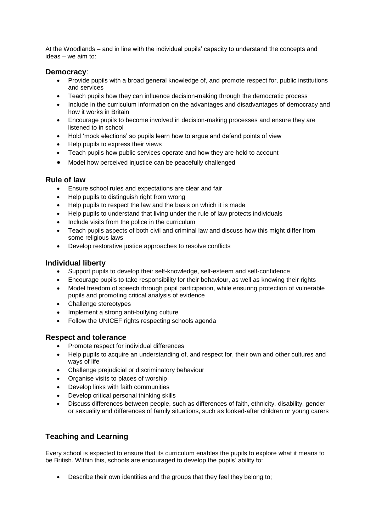At the Woodlands – and in line with the individual pupils' capacity to understand the concepts and ideas – we aim to:

#### **Democracy**:

- Provide pupils with a broad general knowledge of, and promote respect for, public institutions and services
- Teach pupils how they can influence decision-making through the democratic process
- Include in the curriculum information on the advantages and disadvantages of democracy and how it works in Britain
- Encourage pupils to become involved in decision-making processes and ensure they are listened to in school
- Hold 'mock elections' so pupils learn how to argue and defend points of view
- Help pupils to express their views
- Teach pupils how public services operate and how they are held to account
- Model how perceived injustice can be peacefully challenged

#### **Rule of law**

- Ensure school rules and expectations are clear and fair
- Help pupils to distinguish right from wrong
- Help pupils to respect the law and the basis on which it is made
- Help pupils to understand that living under the rule of law protects individuals
- Include visits from the police in the curriculum
- Teach pupils aspects of both civil and criminal law and discuss how this might differ from some religious laws
- Develop restorative justice approaches to resolve conflicts

#### **Individual liberty**

- Support pupils to develop their self-knowledge, self-esteem and self-confidence
- Encourage pupils to take responsibility for their behaviour, as well as knowing their rights
- Model freedom of speech through pupil participation, while ensuring protection of vulnerable pupils and promoting critical analysis of evidence
- Challenge stereotypes
- Implement a strong anti-bullying culture
- Follow the UNICEF rights respecting schools agenda

#### **Respect and tolerance**

- Promote respect for individual differences
- Help pupils to acquire an understanding of, and respect for, their own and other cultures and ways of life
- Challenge prejudicial or discriminatory behaviour
- Organise visits to places of worship
- Develop links with faith communities
- Develop critical personal thinking skills
- Discuss differences between people, such as differences of faith, ethnicity, disability, gender or sexuality and differences of family situations, such as looked-after children or young carers

# **Teaching and Learning**

Every school is expected to ensure that its curriculum enables the pupils to explore what it means to be British. Within this, schools are encouraged to develop the pupils' ability to:

Describe their own identities and the groups that they feel they belong to;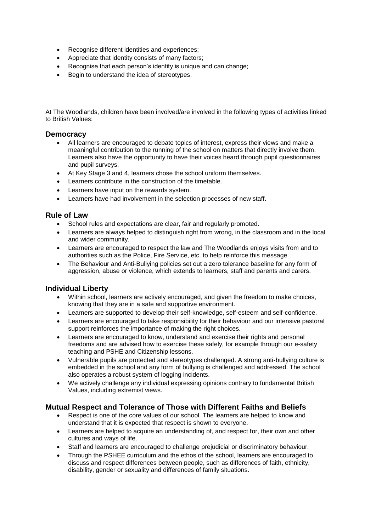- Recognise different identities and experiences;
- Appreciate that identity consists of many factors;
- Recognise that each person's identity is unique and can change;
- Begin to understand the idea of stereotypes.

At The Woodlands, children have been involved/are involved in the following types of activities linked to British Values:

#### **Democracy**

- All learners are encouraged to debate topics of interest, express their views and make a meaningful contribution to the running of the school on matters that directly involve them. Learners also have the opportunity to have their voices heard through pupil questionnaires and pupil surveys.
- At Key Stage 3 and 4, learners chose the school uniform themselves.
- Learners contribute in the construction of the timetable.
- Learners have input on the rewards system.
- Learners have had involvement in the selection processes of new staff.

#### **Rule of Law**

- School rules and expectations are clear, fair and regularly promoted.
- Learners are always helped to distinguish right from wrong, in the classroom and in the local and wider community.
- Learners are encouraged to respect the law and The Woodlands enjoys visits from and to authorities such as the Police, Fire Service, etc. to help reinforce this message.
- The Behaviour and Anti-Bullying policies set out a zero tolerance baseline for any form of aggression, abuse or violence, which extends to learners, staff and parents and carers.

#### **Individual Liberty**

- Within school, learners are actively encouraged, and given the freedom to make choices, knowing that they are in a safe and supportive environment.
- Learners are supported to develop their self-knowledge, self-esteem and self-confidence.
- Learners are encouraged to take responsibility for their behaviour and our intensive pastoral support reinforces the importance of making the right choices.
- Learners are encouraged to know, understand and exercise their rights and personal freedoms and are advised how to exercise these safely, for example through our e-safety teaching and PSHE and Citizenship lessons.
- Vulnerable pupils are protected and stereotypes challenged. A strong anti-bullying culture is embedded in the school and any form of bullying is challenged and addressed. The school also operates a robust system of logging incidents.
- We actively challenge any individual expressing opinions contrary to fundamental British Values, including extremist views.

#### **Mutual Respect and Tolerance of Those with Different Faiths and Beliefs**

- Respect is one of the core values of our school. The learners are helped to know and understand that it is expected that respect is shown to everyone.
- Learners are helped to acquire an understanding of, and respect for, their own and other cultures and ways of life.
- Staff and learners are encouraged to challenge prejudicial or discriminatory behaviour.
- Through the PSHEE curriculum and the ethos of the school, learners are encouraged to discuss and respect differences between people, such as differences of faith, ethnicity, disability, gender or sexuality and differences of family situations.